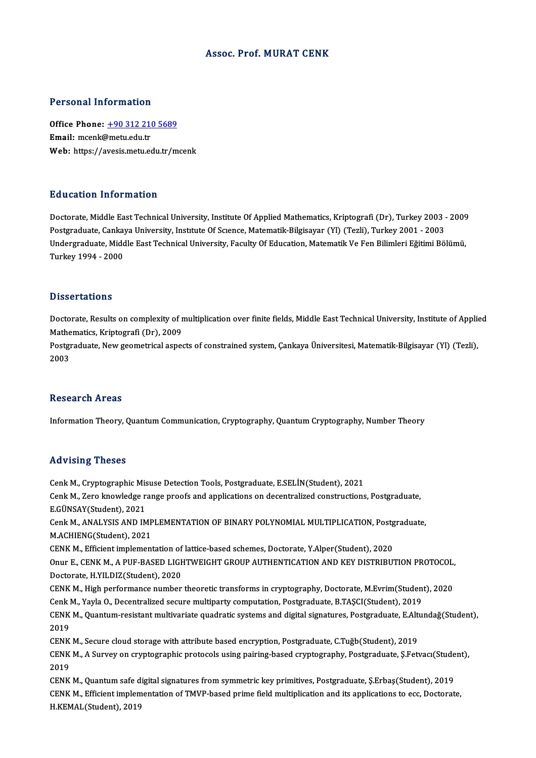## Assoc. Prof.MURAT CENK

## Personal Information

Personal Information<br>Office Phone: <u>+90 312 210 5689</u><br>Email: meank@matuedutr office Phone: <u>+90 312 21</u><br>Email: mcenk@metu.edu.tr<br>Web: https://avesis.metu.co Email: mcenk@metu.edu.tr<br>Web: https://a[vesis.metu.edu.tr/m](tel:+90 312 210 5689)cenk

## Education Information

Doctorate, Middle East Technical University, Institute Of Applied Mathematics, Kriptografi (Dr), Turkey 2003 - 2009 Pu a cacron Timot Inacron<br>Doctorate, Middle East Technical University, Institute Of Applied Mathematics, Kriptografi (Dr), Turkey 2003 -<br>Postgraduate, Cankaya University, Institute Of Science, Matematik-Bilgisayar (Yl) (Te Undergraduate, Middle East Technical University, Faculty Of Education, Matematik Ve Fen Bilimleri Eğitimi Bölümü,<br>Turkey 1994 - 2000 Postgraduate, Canka<br>Undergraduate, Mido<br>Turkey 1994 - 2000

### **Dissertations**

Dissertations<br>Doctorate, Results on complexity of multiplication over finite fields, Middle East Technical University, Institute of Applied<br>Mathematics, Krintegrafi (Dr.), 2009 Mathematics<br>Mathematics, Kriptografi (Dr), 2009<br>Restauduate New seemetrical aspec Doctorate, Results on complexity of multiplication over finite fields, Middle East Technical University, Institute of Appli<br>Mathematics, Kriptografi (Dr), 2009<br>Postgraduate, New geometrical aspects of constrained system, Ç

Mathematics, Kriptografi (Dr), 2009<br>Postgraduate, New geometrical aspects of constrained system, Çankaya Üniversitesi, Matematik-Bilgisayar (Yl) (Tezli),<br>2003

### **Research Areas**

Information Theory, Quantum Communication, Cryptography, Quantum Cryptography, Number Theory

### Advising Theses

Cenk M., Cryptographic Misuse Detection Tools, Postgraduate, E.SELİN(Student), 2021 rta viorn<sub>is</sub> Priceces<br>Cenk M., Cryptographic Misuse Detection Tools, Postgraduate, E.SELİN(Student), 2021<br>Cenk M., Zero knowledge range proofs and applications on decentralized constructions, Postgraduate,<br>E.CÜNSAV(Studen Cenk M., Cryptographic Mis<br>Cenk M., Zero knowledge r.<br>E.GÜNSAY(Student), 2021<br>Cenk M. ANAI YSIS AND IM Cenk M., Zero knowledge range proofs and applications on decentralized constructions, Postgraduate,<br>E.GÜNSAY(Student), 2021<br>Cenk M., ANALYSIS AND IMPLEMENTATION OF BINARY POLYNOMIAL MULTIPLICATION, Postgraduate,<br>MACHIENC(S E.GÜNSAY(Student), 2021<br>Cenk M., ANALYSIS AND IMP<br>M.ACHIENG(Student), 2021<br>CENK M. Efficient implement Cenk M., ANALYSIS AND IMPLEMENTATION OF BINARY POLYNOMIAL MULTIPLICATION, Postg<br>M.ACHIENG(Student), 2021<br>CENK M., Efficient implementation of lattice-based schemes, Doctorate, Y.Alper(Student), 2020<br>Onur E. CENK M. A PUE P M.ACHIENG(Student), 2021<br>CENK M., Efficient implementation of lattice-based schemes, Doctorate, Y.Alper(Student), 2020<br>Onur E., CENK M., A PUF-BASED LIGHTWEIGHT GROUP AUTHENTICATION AND KEY DISTRIBUTION PROTOCOL,<br>Doctorate CENK M., Efficient implementation of<br>Onur E., CENK M., A PUF-BASED LIGH<br>Doctorate, H.YILDIZ(Student), 2020 Onur E., CENK M., A PUF-BASED LIGHTWEIGHT GROUP AUTHENTICATION AND KEY DISTRIBUTION PROTOCOL,<br>Doctorate, H.YILDIZ(Student), 2020<br>CENK M., High performance number theoretic transforms in cryptography, Doctorate, M.Evrim(Stu Doctorate, H.YILDIZ(Student), 2020<br>CENK M., High performance number theoretic transforms in cryptography, Doctorate, M.Evrim(Student), 2020<br>Cenk M., Yayla O., Decentralized secure multiparty computation, Postgraduate, B.TA CENK M., High performance number theoretic transforms in cryptography, Doctorate, M.Evrim(Student), 2020<br>Cenk M., Yayla O., Decentralized secure multiparty computation, Postgraduate, B.TAŞCI(Student), 2019<br>CENK M., Quantum Cenk I<br>CENK<br>2019<br>CENV CENK M., Quantum-resistant multivariate quadratic systems and digital signatures, Postgraduate, E.Alt<br>2019<br>CENK M., Secure cloud storage with attribute based encryption, Postgraduate, C.Tuğb(Student), 2019<br>CENK M. A Survey 2019<br>CENK M., Secure cloud storage with attribute based encryption, Postgraduate, C.Tuğb(Student), 2019<br>CENK M., A Survey on cryptographic protocols using pairing-based cryptography, Postgraduate, Ş.Fetvacı(Student),<br>2019 CENK<br>CENK<br>2019<br>CENV CENK M., A Survey on cryptographic protocols using pairing-based cryptography, Postgraduate, Ş.Fetvacı(Stude<br>2019<br>CENK M., Quantum safe digital signatures from symmetric key primitives, Postgraduate, Ş.Erbaş(Student), 2019 2019<br>CENK M., Quantum safe digital signatures from symmetric key primitives, Postgraduate, Ş.Erbaş(Student), 2019<br>CENK M., Efficient implementation of TMVP-based prime field multiplication and its applications to ecc, Doct CENK M., Quantum safe d<br>CENK M., Efficient implem<br>H.KEMAL(Student), 2019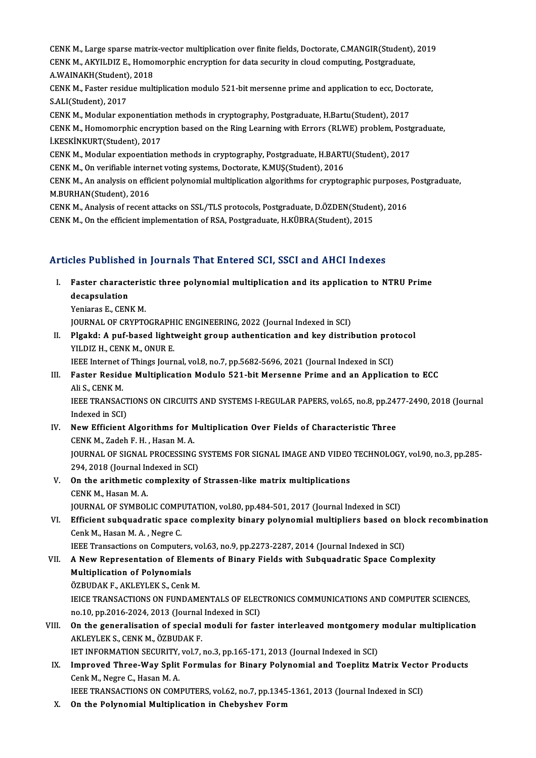CENK M., Large sparse matrix-vector multiplication over finite fields, Doctorate, C.MANGIR(Student), 2019<br>CENK M. AKVU DIZ E. Homomorphic operation for data coqurity in cloud computing Bostaneduate CENK M., Large sparse matrix-vector multiplication over finite fields, Doctorate, C.MANGIR(Student),<br>CENK M., AKYILDIZ E., Homomorphic encryption for data security in cloud computing, Postgraduate,<br>A WAINAKH(Student), 2019 CENK M., Large sparse matrix<br>CENK M., AKYILDIZ E., Homo:<br>A.WAINAKH(Student), 2018 CENK M., AKYILDIZ E., Homomorphic encryption for data security in cloud computing, Postgraduate,<br>A.WAINAKH(Student), 2018<br>CENK M., Faster residue multiplication modulo 521-bit mersenne prime and application to ecc, Doctora A.WAINAKH(Student)<br>CENK M., Faster resid<br>S.ALI(Student), 2017<br>CENK M. Modular ovr

CENK M., Faster residue multiplication modulo 521-bit mersenne prime and application to ecc, Doct<br>S.ALI(Student), 2017<br>CENK M., Modular exponentiation methods in cryptography, Postgraduate, H.Bartu(Student), 2017<br>CENK M., S.ALI(Student), 2017<br>CENK M., Modular exponentiation methods in cryptography, Postgraduate, H.Bartu(Student), 2017<br>CENK M., Homomorphic encryption based on the Ring Learning with Errors (RLWE) problem, Postgraduate,<br>LEREVI CENK M., Modular exponentiati<br>CENK M., Homomorphic encryp<br>İ.KESKİNKURT(Student), 2017<br>CENK M. Modular expoentiatio CENK M., Homomorphic encryption based on the Ring Learning with Errors (RLWE) problem, Postg<br>LKESKİNKURT(Student), 2017<br>CENK M., Modular expoentiation methods in cryptography, Postgraduate, H.BARTU(Student), 2017<br>CENK M. O İ.KESKİNKURT(Student), 2017<br>CENK M., Modular expoentiation methods in cryptography, Postgraduate, H.BARTU(Student), 2017<br>CENK M., On verifiable internet voting systems, Doctorate, K.MUŞ(Student), 2016

CENK M., Modular expoentiation methods in cryptography, Postgraduate, H.BARTU(Student), 2017<br>CENK M., On verifiable internet voting systems, Doctorate, K.MUŞ(Student), 2016<br>CENK M., An analysis on efficient polynomial mult CENK M., On verifiable interi<br>CENK M., An analysis on effi<br>M.BURHAN(Student), 2016<br>CENK M. Analysis of resent CENK M., An analysis on efficient polynomial multiplication algorithms for cryptographic purposes,<br>M.BURHAN(Student), 2016<br>CENK M., Analysis of recent attacks on SSL/TLS protocols, Postgraduate, D.ÖZDEN(Student), 2016<br>CENK

M.BURHAN(Student), 2016<br>CENK M., Analysis of recent attacks on SSL/TLS protocols, Postgraduate, D.ÖZDEN(Student), 2016<br>CENK M., On the efficient implementation of RSA, Postgraduate, H.KÜBRA(Student), 2015

# CENK M., On the enicient implementation or KSA, Postgraduate, H.KUBKA(Student), 2015<br>Articles Published in Journals That Entered SCI, SSCI and AHCI Indexes

rticles Published in Journals That Entered SCI, SSCI and AHCI Indexes<br>I. Faster characteristic three polynomial multiplication and its application to NTRU Prime res r abhoned<br>Faster charact<br>decapsulation<br>Voniares E. CEN **Faster characteris<br>decapsulation<br>Yeniaras E., CENK M.<br>JOUPMAL OF CPVPTC** 

decapsulation<br>Yeniaras E., CENK M.<br>JOURNAL OF CRYPTOGRAPHIC ENGINEERING, 2022 (Journal Indexed in SCI)

Yeniaras E., CENK M.<br>JOURNAL OF CRYPTOGRAPHIC ENGINEERING, 2022 (Journal Indexed in SCI)<br>II. Plgakd: A puf-based lightweight group authentication and key distribution protocol<br>VII DIZ H. CENK M. ONUR E **JOURNAL OF CRYPTOGRAPH<br>Plgakd: A puf-based light<br>YILDIZ H., CENK M., ONUR E.**<br>JEEE Internet of Things Journ Plgakd: A puf-based lightweight group authentication and key distribution pro<br>YILDIZ H., CENK M., ONUR E.<br>IEEE Internet of Things Journal, vol.8, no.7, pp.5682-5696, 2021 (Journal Indexed in SCI)<br>Faster Besidue Multiplicat

IEEE Internet of Things Journal, vol.8, no.7, pp.5682-5696, 2021 (Journal Indexed in SCI)

## II. FASTER INCORD IN THE INCORD IN THE INCORDENT INCORDENT IN THE INTEREMENT IN THE INTEREMULTION IN THE ISLA<br>III. Faster Residue Multiplication Modulo 521-bit Mersenne Prime and an Application to ECC<br>Ali S., CENK M. Faster Residue Multiplication Modulo 521-bit Mersenne Prime and an Application to ECC<br>Ali S., CENK M.<br>IEEE TRANSACTIONS ON CIRCUITS AND SYSTEMS I-REGULAR PAPERS, vol.65, no.8, pp.2477-2490, 2018 (Journal<br>Indeved in SCL)

Ali S., CENK M.<br>IEEE TRANSACT<br>Indexed in SCI)<br>Now Efficient IEEE TRANSACTIONS ON CIRCUITS AND SYSTEMS I-REGULAR PAPERS, vol.65, no.8, pp.24?<br>Indexed in SCI)<br>IV. New Efficient Algorithms for Multiplication Over Fields of Characteristic Three<br>CENY M. Zadab E. H. Hessn M.A.

- Indexed in SCI)<br>New Efficient Algorithms for **M**<br>CENK M., Zadeh F. H. , Hasan M. A.<br>JOUPNAL OF SICNAL PROCESSING New Efficient Algorithms for Multiplication Over Fields of Characteristic Three<br>CENK M., Zadeh F. H. , Hasan M. A.<br>JOURNAL OF SIGNAL PROCESSING SYSTEMS FOR SIGNAL IMAGE AND VIDEO TECHNOLOGY, vol.90, no.3, pp.285-<br>204, 2018 CENK M., Zadeh F. H. , Hasan M. A.<br>JOURNAL OF SIGNAL PROCESSING !<br>294, 2018 (Journal Indexed in SCI)<br>On the anithmatic complexity of JOURNAL OF SIGNAL PROCESSING SYSTEMS FOR SIGNAL IMAGE AND VIDEO<br>294, 2018 (Journal Indexed in SCI)<br>V. On the arithmetic complexity of Strassen-like matrix multiplications<br>CENV M. Heesn M.A.
- 294, 2018 (Journal Indexed in SCI)<br>V. On the arithmetic complexity of Strassen-like matrix multiplications<br>CENK M., Hasan M. A. On the arithmetic complexity of Strassen-like matrix multiplications<br>CENK M., Hasan M. A.<br>JOURNAL OF SYMBOLIC COMPUTATION, vol.80, pp.484-501, 2017 (Journal Indexed in SCI)<br>Efficient subaugdratic space complexity binary po
- VI. Efficient subquadratic space complexity binary polynomial multipliers based on block recombination<br>Cenk M., Hasan M. A., Negre C. JOURNAL OF SYMBOLIC COMP<br>Efficient subquadratic spac<br>Cenk M., Hasan M. A. , Negre C.<br><sup>IEEE Transactions on Compute</sup> Efficient subquadratic space complexity binary polynomial multipliers based on b<br>Cenk M., Hasan M. A. , Negre C.<br>IEEE Transactions on Computers, vol.63, no.9, pp.2273-2287, 2014 (Journal Indexed in SCI)<br>A Now Benresentatio

## Cenk M., Hasan M. A. , Negre C.<br>IEEE Transactions on Computers, vol.63, no.9, pp.2273-2287, 2014 (Journal Indexed in SCI)<br>VII. A New Representation of Elements of Binary Fields with Subquadratic Space Complexity<br>Multiplica **IEEE Transactions on Computers,<br>A New Representation of Elen<br>Multiplication of Polynomials<br>ÖZPUDAKE AKLEVLEKS Conkl** A New Representation of Eleme<br>Multiplication of Polynomials<br>ÖZBUDAK F., AKLEYLEK S., Cenk M.<br>IEICE TRANSACTIONS ON EUNDAM Multiplication of Polynomials<br>ÖZBUDAK F., AKLEYLEK S., Cenk M.<br>IEICE TRANSACTIONS ON FUNDAMENTALS OF ELECTRONICS COMMUNICATIONS AND COMPUTER SCIENCES,<br>no 10, np 2016 2024, 2012 (Journal Indoved in SCD

ÖZBUDAK F., AKLEYLEK S., Cenk M.<br>IEICE TRANSACTIONS ON FUNDAMENTALS OF ELEC<br>no.10, pp.2016-2024, 2013 (Journal Indexed in SCI)<br>On the seneralisation of special moduli for fos IEICE TRANSACTIONS ON FUNDAMENTALS OF ELECTRONICS COMMUNICATIONS AND COMPUTER SCIENCES,<br>no.10, pp.2016-2024, 2013 (Journal Indexed in SCI)<br>VIII. On the generalisation of special moduli for faster interleaved montgomery mod

no.10, pp.2016-2024, 2013 (Journal<br>On the generalisation of special<br>AKLEYLEK S., CENK M., ÖZBUDAK F.<br>JET INFORMATION SECURITY vel 7 On the generalisation of special moduli for faster interleaved montgomery<br>AKLEYLEK S., CENK M., ÖZBUDAK F.<br>IET INFORMATION SECURITY, vol.7, no.3, pp.165-171, 2013 (Journal Indexed in SCI)<br>Improved Three Way Split Formulas

AKLEYLEK S., CENK M., ÖZBUDAK F.<br>IET INFORMATION SECURITY, vol.7, no.3, pp.165-171, 2013 (Journal Indexed in SCI)<br>IX. Improved Three-Way Split Formulas for Binary Polynomial and Toeplitz Matrix Vector Products<br>Cenk M. Negr IET INFORMATION SECURITY, vol.7, no.3, pp.165-171, 2013 (Journal Indexed in SCI)<br>Improved Three-Way Split Formulas for Binary Polynomial and Toeplitz Matrix Vecto<br>Cenk M., Negre C., Hasan M. A.<br>IEEE TRANSACTIONS ON COMPUTE Improved Three-Way Split Formulas for Binary Polynomial and Toeplitz Matrix Vecto<br>Cenk M., Negre C., Hasan M. A.<br>IEEE TRANSACTIONS ON COMPUTERS, vol.62, no.7, pp.1345-1361, 2013 (Journal Indexed in SCI)<br>On the Polynomial M

X. On the Polynomial Multiplication in Chebyshev Form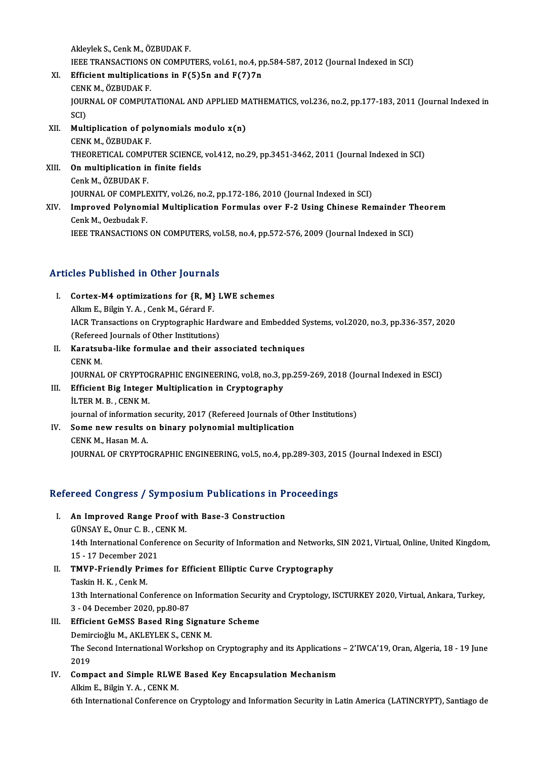AkleylekS.,CenkM.,ÖZBUDAKF. Akleylek S., Cenk M., ÖZBUDAK F.<br>IEEE TRANSACTIONS ON COMPUTERS, vol.61, no.4, pp.584-587, 2012 (Journal Indexed in SCI)<br>Efficient multiplications in E(E)En and E(7)7n Akleylek S., Cenk M., ÖZBUDAK F.<br>IEEE TRANSACTIONS ON COMPUTERS, vol.61, no.4, p<br>XI. Efficient multiplications in F(5)5n and F(7)7n<br>CENV M. ÖZBUDAV E

- **IEEE TRANSACTIONS<br>Efficient multiplicat<br>CENK M., ÖZBUDAK F.<br>JOUPNAL OF COMBUT** Efficient multiplications in F(5)5n and F(7)7n<br>CENK M., ÖZBUDAK F.<br>JOURNAL OF COMPUTATIONAL AND APPLIED MATHEMATICS, vol.236, no.2, pp.177-183, 2011 (Journal Indexed in<br>SCD CENI<br>JOUR<br>SCI)<br>Mult JOURNAL OF COMPUTATIONAL AND APPLIED M<br>SCI)<br>XII. **Multiplication of polynomials modulo x(n)**<br>CENK M ÖZPUDAK E
- SCI)<br>Multiplication of po<br>CENK M., ÖZBUDAK F.<br>THEOPETICAL COMPU Multiplication of polynomials modulo x(n)<br>CENK M., ÖZBUDAK F.<br>THEORETICAL COMPUTER SCIENCE, vol.412, no.29, pp.3451-3462, 2011 (Journal Indexed in SCI)<br>On multiplication in finite fields CENK M., ÖZBUDAK F.<br>THEORETICAL COMPUTER SCIENCE,<br>XIII. **On multiplication in finite fields**<br>Cenk M., ÖZBUDAK F.
- THEORETICAL COMPI<br>On multiplication ir<br>Cenk M., ÖZBUDAK F.<br>JOUPNAL OF COMPI E JOURNAL OF COMPLEXITY, vol.26, no.2, pp.172-186, 2010 (Journal Indexed in SCI) Cenk M., ÖZBUDAK F.<br>JOURNAL OF COMPLEXITY, vol.26, no.2, pp.172-186, 2010 (Journal Indexed in SCI)<br>XIV. Improved Polynomial Multiplication Formulas over F-2 Using Chinese Remainder Theorem<br>Conk M. Qorbudek E
- **JOURNAL OF COMPLE<br>Improved Polynom<br>Cenk M., Oezbudak F.<br>IEEE TRANSACTIONS** Cenk M., Oezbudak F.<br>IEEE TRANSACTIONS ON COMPUTERS, vol.58, no.4, pp.572-576, 2009 (Journal Indexed in SCI)

## Articles Published in Other Journals

- **Tricles Published in Other Journals<br>I. Cortex-M4 optimizations for {R, M} LWE schemes** Alex President in Schot Journal<br>Cortex-M4 optimizations for {R, M}<br>Alkım E., Bilgin Y. A. , Cenk M., Gérard F. Cortex-M4 optimizations for {R, M} LWE schemes<br>Alkım E., Bilgin Y. A. , Cenk M., Gérard F.<br>IACR Transactions on Cryptographic Hardware and Embedded Systems, vol.2020, no.3, pp.336-357, 2020<br>(Refereed Journals of Other Inst Alkım E., Bilgin Y. A. , Cenk M., Gérard F.<br>IACR Transactions on Cryptographic Hard<br>(Refereed Journals of Other Institutions)<br>Kanatauba like formulae and their as IACR Transactions on Cryptographic Hardware and Embedded S.<br>(Refereed Journals of Other Institutions)<br>II. Karatsuba-like formulae and their associated techniques<br>CENV M
- (Referee<br>Karatsu<br>CENK M.<br>IOUPNAI CENK M.<br>JOURNAL OF CRYPTOGRAPHIC ENGINEERING, vol.8, no.3, pp.259-269, 2018 (Journal Indexed in ESCI) CENK M.<br>JOURNAL OF CRYPTOGRAPHIC ENGINEERING, vol.8, no.3, p<br>III. Efficient Big Integer Multiplication in Cryptography<br>II.TER M. B. CENK M.

## **JOURNAL OF CRYPTO<br>Efficient Big Integer<br>İLTER M. B. , CENK M.<br>iournal of information** iLTER M. B. , CENK M.<br>journal of information security, 2017 (Refereed Journals of Other Institutions) ILTER M. B., CENK M.<br>journal of information security, 2017 (Refereed Journals of Ot<br>IV. Some new results on binary polynomial multiplication<br>CENK M. Hosen M. A.

- 
- iournal of information<br>Some new results of<br>CENK M., Hasan M. A.<br>JOUPNAL OF CPYPTO CENK M., Hasan M. A.<br>JOURNAL OF CRYPTOGRAPHIC ENGINEERING, vol.5, no.4, pp.289-303, 2015 (Journal Indexed in ESCI)

# JOOKNAL OF CKTPTOGKAPHIC ENGINEEKING, VOLS, h0.4, pp.289-303, 201<br>Refereed Congress / Symposium Publications in Proceedings

- efereed Congress / Symposium Publications in P<br>I. An Improved Range Proof with Base-3 Construction<br>CUNSAVE Opur C.B. CENIX M I. An Improved Range Proof with Base-3 Construction 14th International Conference on Security of Information and Networks, SIN 2021, Virtual, Online, United Kingdom, GÜNSAY E., Onur C. B., CENK M. 15 - 17 December 2021
- II. TMVP-Friendly Primes for Efficient Elliptic Curve Cryptography<br>Taskin H. K., Cenk M. TMVP-Friendly Primes for Efficient Elliptic Curve Cryptography<br>Taskin H. K. , Cenk M.<br>13th International Conference on Information Security and Cryptology, ISCTURKEY 2020, Virtual, Ankara, Turkey,<br>2...04 Desember 2020, pp. Taskin H. K. , Cenk M.<br>13th International Conference on<br>3 - 04 December 2020, pp.80-87<br>Efficient CeMSS Based Bing S
- 3 04 December 2020, pp.80-87<br>III. Efficient GeMSS Based Ring Signature Scheme 3 - 04 December 2020, pp.80-87<br>Efficient GeMSS Based Ring Signati<br>Demircioğlu M., AKLEYLEK S., CENK M.<br>The Sesend International Werkphan er The Second International Workshop on Cryptography and its Applications – 2'IWCA'19, Oran, Algeria, 18 - 19 June<br>2019 Demir<br>The Se<br>2019<br>Comp The Second International Workshop on Cryptography and its Applications<br>2019<br>IV. Compact and Simple RLWE Based Key Encapsulation Mechanism<br>Alltim E. Bilgin Y. A., CENV.M
- 2019<br>Compact and Simple RLWE<br>Alkim E., Bilgin Y. A. , CENK M.<br>6th International Conference Alkim E., Bilgin Y. A. , CENK M.<br>6th International Conference on Cryptology and Information Security in Latin America (LATINCRYPT), Santiago de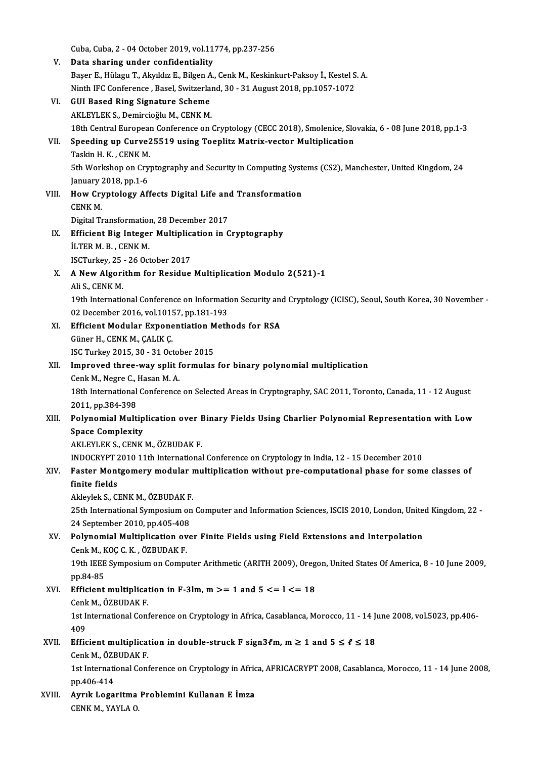|        | Cuba, Cuba, 2 - 04 October 2019, vol.11774, pp.237-256                                                             |
|--------|--------------------------------------------------------------------------------------------------------------------|
| V.     | Data sharing under confidentiality                                                                                 |
|        | Başer E., Hülagu T., Akyıldız E., Bilgen A., Cenk M., Keskinkurt-Paksoy İ., Kestel S. A.                           |
|        | Ninth IFC Conference, Basel, Switzerland, 30 - 31 August 2018, pp.1057-1072                                        |
| VI.    | <b>GUI Based Ring Signature Scheme</b>                                                                             |
|        | AKLEYLEK S., Demircioğlu M., CENK M.                                                                               |
|        | 18th Central European Conference on Cryptology (CECC 2018), Smolenice, Slovakia, 6 - 08 June 2018, pp.1-3          |
| VII.   | Speeding up Curve25519 using Toeplitz Matrix-vector Multiplication                                                 |
|        | Taskin H. K., CENK M.                                                                                              |
|        | 5th Workshop on Cryptography and Security in Computing Systems (CS2), Manchester, United Kingdom, 24               |
|        | January 2018, pp 1-6                                                                                               |
| VIII.  | How Cryptology Affects Digital Life and Transformation                                                             |
|        | <b>CENK M</b>                                                                                                      |
|        | Digital Transformation, 28 December 2017                                                                           |
| IX.    | Efficient Big Integer Multiplication in Cryptography                                                               |
|        | <b>İLTER M. B., CENK M.</b>                                                                                        |
|        | ISCTurkey, 25 - 26 October 2017                                                                                    |
| Χ.     | A New Algorithm for Residue Multiplication Modulo 2(521)-1                                                         |
|        | Ali S, CENK M                                                                                                      |
|        | 19th International Conference on Information Security and Cryptology (ICISC), Seoul, South Korea, 30 November -    |
|        | 02 December 2016, vol.10157, pp.181-193                                                                            |
| XI.    | Efficient Modular Exponentiation Methods for RSA                                                                   |
|        | Güner H., CENK M., ÇALIK Ç.                                                                                        |
|        | ISC Turkey 2015, 30 - 31 October 2015                                                                              |
| XII.   | Improved three-way split formulas for binary polynomial multiplication                                             |
|        | Cenk M., Negre C., Hasan M. A.                                                                                     |
|        | 18th International Conference on Selected Areas in Cryptography, SAC 2011, Toronto, Canada, 11 - 12 August         |
|        | 2011, pp 384-398<br>Polynomial Multiplication over Binary Fields Using Charlier Polynomial Representation with Low |
| XIII.  | <b>Space Complexity</b>                                                                                            |
|        | AKLEYLEK S., CENK M., ÖZBUDAK F.                                                                                   |
|        | INDOCRYPT 2010 11th International Conference on Cryptology in India, 12 - 15 December 2010                         |
| XIV.   | Faster Montgomery modular multiplication without pre-computational phase for some classes of                       |
|        | finite fields                                                                                                      |
|        | Akleylek S., CENK M., ÖZBUDAK F.                                                                                   |
|        | 25th International Symposium on Computer and Information Sciences, ISCIS 2010, London, United Kingdom, 22 -        |
|        | 24 September 2010, pp.405-408                                                                                      |
| XV.    | Polynomial Multiplication over Finite Fields using Field Extensions and Interpolation                              |
|        | Cenk M., KOÇ C. K., ÖZBUDAK F.                                                                                     |
|        | 19th IEEE Symposium on Computer Arithmetic (ARITH 2009), Oregon, United States Of America, 8 - 10 June 2009,       |
|        | pp.84-85                                                                                                           |
| XVI.   | Efficient multiplication in F-3lm, $m >= 1$ and $5 <= l <= 18$                                                     |
|        | Cenk M, ÖZBUDAK F                                                                                                  |
|        | 1st International Conference on Cryptology in Africa, Casablanca, Morocco, 11 - 14 June 2008, vol.5023, pp.406-    |
|        | 409                                                                                                                |
| XVII.  | Efficient multiplication in double-struck F sign3 $\ell$ m, m $\geq 1$ and $5 \leq \ell \leq 18$                   |
|        | Cenk M, ÖZBUDAK F                                                                                                  |
|        | 1st International Conference on Cryptology in Africa, AFRICACRYPT 2008, Casablanca, Morocco, 11 - 14 June 2008,    |
|        | pp 406-414                                                                                                         |
| XVIII. | Ayrık Logaritma Problemini Kullanan E İmza                                                                         |
|        | CENK M., YAYLA O.                                                                                                  |
|        |                                                                                                                    |